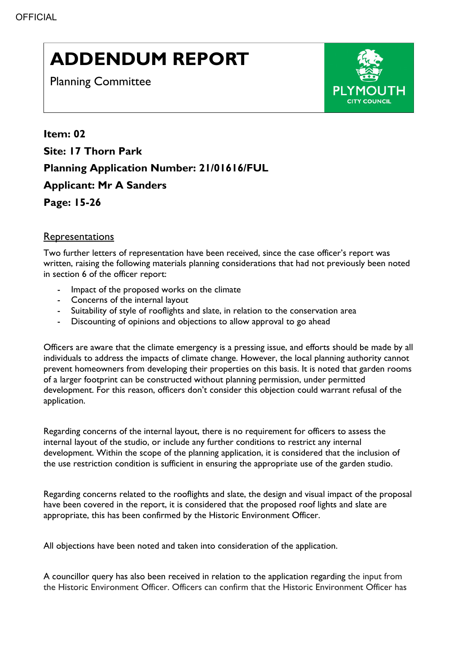## **ADDENDUM REPORT**

Planning Committee



**Item: 02 Site: 17 Thorn Park Planning Application Number: 21/01616/FUL Applicant: Mr A Sanders Page: 15-26** 

## Representations

Two further letters of representation have been received, since the case officer's report was written, raising the following materials planning considerations that had not previously been noted in section 6 of the officer report:

- Impact of the proposed works on the climate
- Concerns of the internal layout
- Suitability of style of rooflights and slate, in relation to the conservation area
- Discounting of opinions and objections to allow approval to go ahead

Officers are aware that the climate emergency is a pressing issue, and efforts should be made by all individuals to address the impacts of climate change. However, the local planning authority cannot prevent homeowners from developing their properties on this basis. It is noted that garden rooms of a larger footprint can be constructed without planning permission, under permitted development. For this reason, officers don't consider this objection could warrant refusal of the application.

Regarding concerns of the internal layout, there is no requirement for officers to assess the internal layout of the studio, or include any further conditions to restrict any internal development. Within the scope of the planning application, it is considered that the inclusion of the use restriction condition is sufficient in ensuring the appropriate use of the garden studio.

Regarding concerns related to the rooflights and slate, the design and visual impact of the proposal have been covered in the report, it is considered that the proposed roof lights and slate are appropriate, this has been confirmed by the Historic Environment Officer.

All objections have been noted and taken into consideration of the application.

A councillor query has also been received in relation to the application regarding the input from the Historic Environment Officer. Officers can confirm that the Historic Environment Officer has